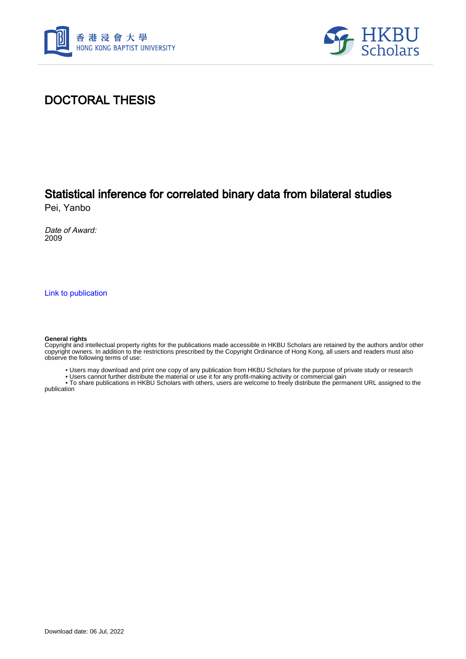



### DOCTORAL THESIS

## Statistical inference for correlated binary data from bilateral studies

Pei, Yanbo

Date of Award: 2009

[Link to publication](https://scholars.hkbu.edu.hk/en/studentTheses/cc4ccd45-32c6-48a5-a814-ff9f23321336)

#### **General rights**

Copyright and intellectual property rights for the publications made accessible in HKBU Scholars are retained by the authors and/or other copyright owners. In addition to the restrictions prescribed by the Copyright Ordinance of Hong Kong, all users and readers must also observe the following terms of use:

• Users may download and print one copy of any publication from HKBU Scholars for the purpose of private study or research

• Users cannot further distribute the material or use it for any profit-making activity or commercial gain

 • To share publications in HKBU Scholars with others, users are welcome to freely distribute the permanent URL assigned to the publication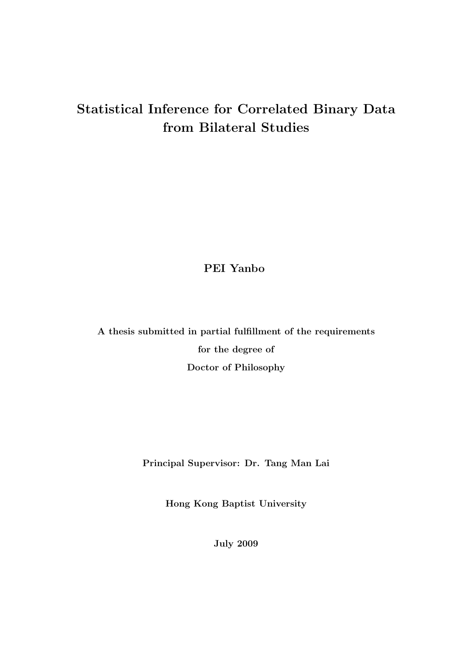## Statistical Inference for Correlated Binary Data from Bilateral Studies

PEI Yanbo

A thesis submitted in partial fulfillment of the requirements for the degree of Doctor of Philosophy

Principal Supervisor: Dr. Tang Man Lai

Hong Kong Baptist University

July 2009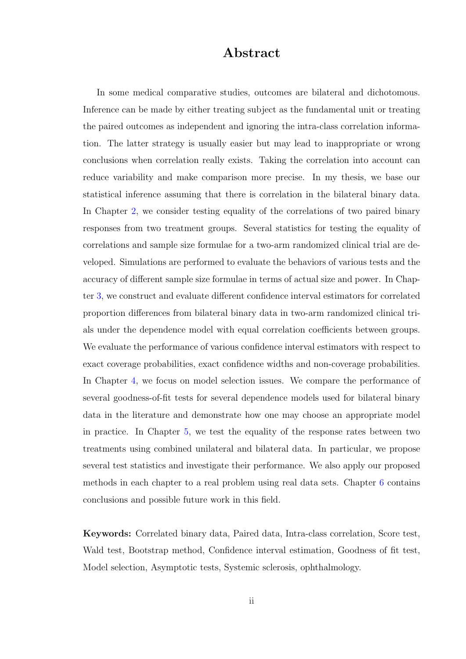#### Abstract

In some medical comparative studies, outcomes are bilateral and dichotomous. Inference can be made by either treating subject as the fundamental unit or treating the paired outcomes as independent and ignoring the intra-class correlation information. The latter strategy is usually easier but may lead to inappropriate or wrong conclusions when correlation really exists. Taking the correlation into account can reduce variability and make comparison more precise. In my thesis, we base our statistical inference assuming that there is correlation in the bilateral binary data. In Chapter 2, we consider testing equality of the correlations of two paired binary responses from two treatment groups. Several statistics for testing the equality of correlations [an](#page--1-0)d sample size formulae for a two-arm randomized clinical trial are developed. Simulations are performed to evaluate the behaviors of various tests and the accuracy of different sample size formulae in terms of actual size and power. In Chapter 3, we construct and evaluate different confidence interval estimators for correlated proportion differences from bilateral binary data in two-arm randomized clinical trials [u](#page--1-0)nder the dependence model with equal correlation coefficients between groups. We evaluate the performance of various confidence interval estimators with respect to exact coverage probabilities, exact confidence widths and non-coverage probabilities. In Chapter 4, we focus on model selection issues. We compare the performance of several goodness-of-fit tests for several dependence models used for bilateral binary data in the [li](#page--1-0)terature and demonstrate how one may choose an appropriate model in practice. In Chapter 5, we test the equality of the response rates between two treatments using combined unilateral and bilateral data. In particular, we propose several test statistics an[d in](#page--1-0)vestigate their performance. We also apply our proposed methods in each chapter to a real problem using real data sets. Chapter 6 contains conclusions and possible future work in this field.

Keywords: Correlated binary data, Paired data, Intra-class correlation, Score test, Wald test, Bootstrap method, Confidence interval estimation, Goodness of fit test, Model selection, Asymptotic tests, Systemic sclerosis, ophthalmology.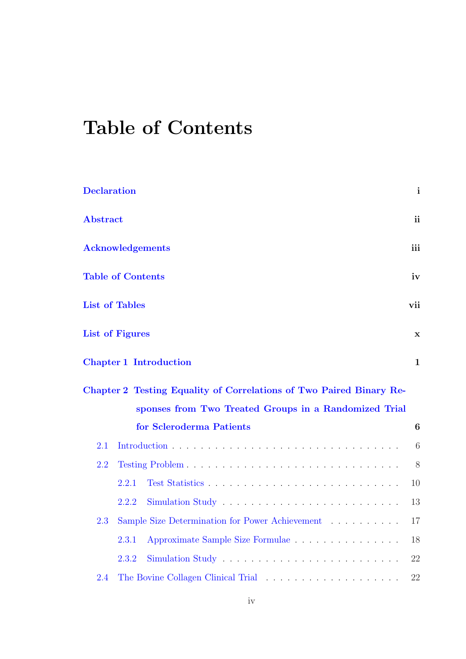# Table of Contents

| <b>Declaration</b>      |                          |                                                                     |                 |
|-------------------------|--------------------------|---------------------------------------------------------------------|-----------------|
| <b>Abstract</b>         |                          |                                                                     | <sub>ii</sub>   |
| <b>Acknowledgements</b> |                          |                                                                     |                 |
|                         | <b>Table of Contents</b> |                                                                     | iv              |
|                         | <b>List of Tables</b>    |                                                                     | vii             |
|                         | <b>List of Figures</b>   |                                                                     | $\mathbf X$     |
|                         |                          | <b>Chapter 1 Introduction</b>                                       | $\mathbf{1}$    |
|                         |                          | Chapter 2 Testing Equality of Correlations of Two Paired Binary Re- |                 |
|                         |                          | sponses from Two Treated Groups in a Randomized Trial               |                 |
|                         |                          | for Scleroderma Patients                                            | 6               |
| 2.1                     |                          |                                                                     | $6\phantom{.}6$ |
| 2.2                     |                          |                                                                     | 8               |
|                         | 2.2.1                    |                                                                     | 10              |
|                         | 2.2.2                    |                                                                     | 13              |
| 2.3                     |                          | Sample Size Determination for Power Achievement                     | 17              |
|                         | 2.3.1                    | Approximate Sample Size Formulae                                    | 18              |
|                         | 2.3.2                    |                                                                     | 22              |
| 2.4                     |                          |                                                                     | 22              |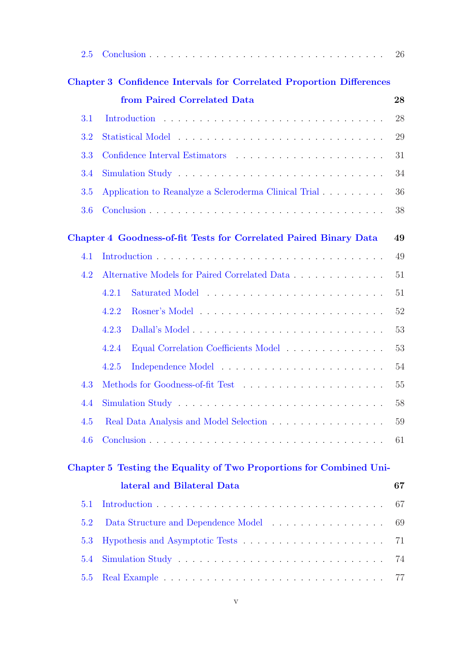| 2.5 |                                                                             | 26 |  |
|-----|-----------------------------------------------------------------------------|----|--|
|     | <b>Chapter 3 Confidence Intervals for Correlated Proportion Differences</b> |    |  |
|     | from Paired Correlated Data                                                 | 28 |  |
| 3.1 |                                                                             | 28 |  |
| 3.2 |                                                                             |    |  |
| 3.3 |                                                                             |    |  |
| 3.4 |                                                                             |    |  |
| 3.5 | Application to Reanalyze a Scleroderma Clinical Trial                       |    |  |
| 3.6 |                                                                             | 38 |  |
|     | Chapter 4 Goodness-of-fit Tests for Correlated Paired Binary Data           | 49 |  |
| 4.1 |                                                                             | 49 |  |
| 4.2 | Alternative Models for Paired Correlated Data                               | 51 |  |
|     | 4.2.1                                                                       | 51 |  |
|     | 4.2.2                                                                       | 52 |  |
|     | 4.2.3                                                                       | 53 |  |
|     | Equal Correlation Coefficients Model<br>4.2.4                               | 53 |  |
|     | 4.2.5                                                                       | 54 |  |
| 4.3 |                                                                             | 55 |  |
|     |                                                                             | 58 |  |
| 4.5 | Real Data Analysis and Model Selection                                      | 59 |  |
| 4.6 |                                                                             | 61 |  |
|     | Chapter 5 Testing the Equality of Two Proportions for Combined Uni-         |    |  |
|     | lateral and Bilateral Data                                                  | 67 |  |
| 5.1 |                                                                             | 67 |  |
| 5.2 | Data Structure and Dependence Model                                         | 69 |  |
| 5.3 |                                                                             | 71 |  |
| 5.4 |                                                                             | 74 |  |
| 5.5 |                                                                             | 77 |  |